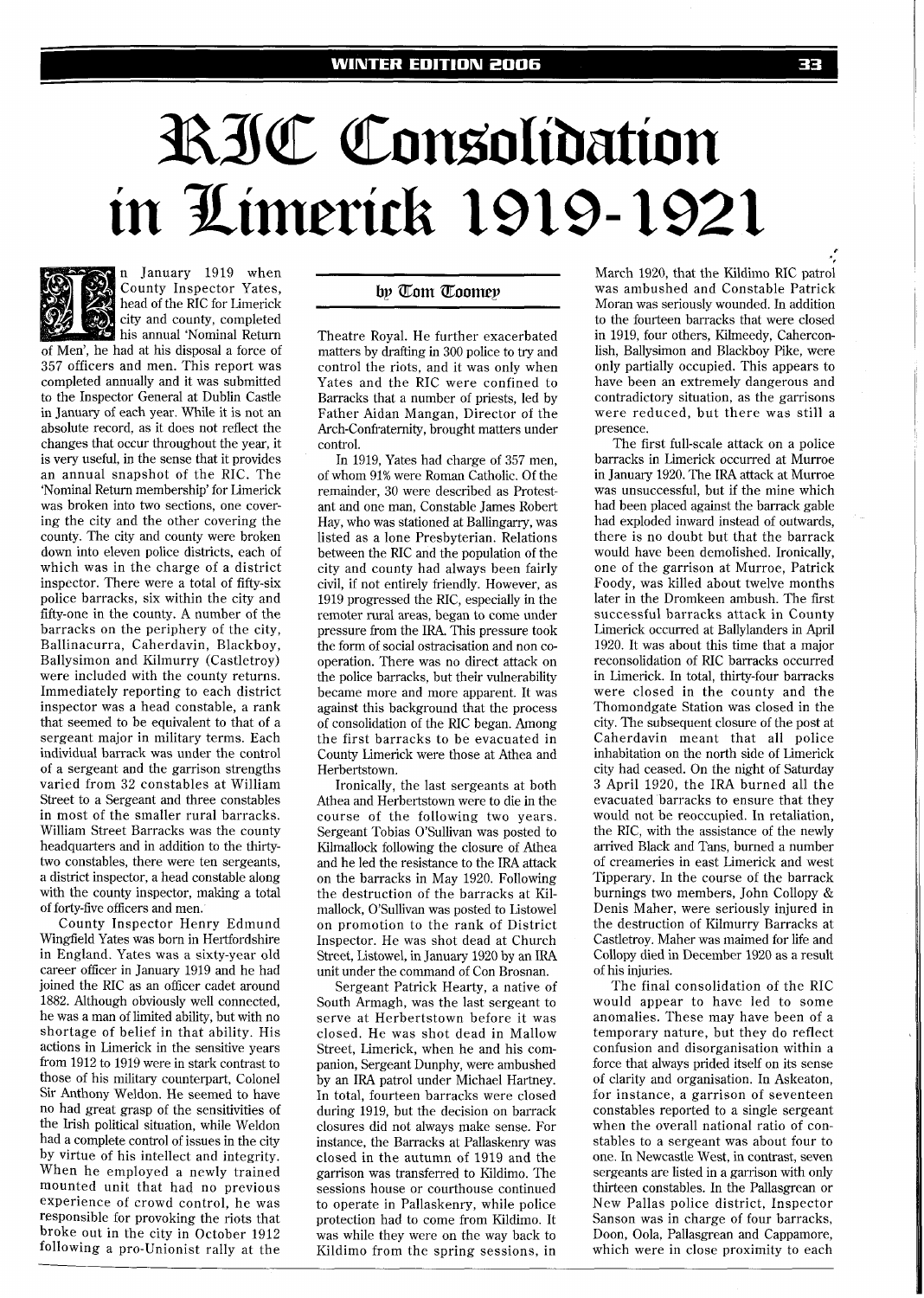## RIC Consolidation in Limerick 1919-1921



n January 1919 when County Inspector Yates, head of the RIC for Limerick city and county, completed

his annual 'Nominal Return of Men', he had at his disposal a force of 357 officers and men. This report was completed annually and it was submitted to the Inspector General at Dublin Castle in January of each year. While it is not an absolute record, as it does not reflect the changes that occur throughout the year, it is very useful, in the sense that it provides an annual snapshot of the RIC. The 'Nominal Return membership' for Limerick was broken into two sections, one covering the city and the other covering the county. The city and county were broken down into eleven police districts, each of which was in the charge of a district inspector. There were a total of fifty-six police barracks, six within the city and fifty-one in the county. A number of the barracks on the periphery of the city, Ballinacurra, Caherdavin, Blackboy, Ballysimon and Kilmurry (Castletroy) were included with the county returns. Immediately reporting to each district inspector was a head constable, a rank that seemed to be equivalent to that of a sergeant major in military terms. Each individual barrack was under the control of a sergeant and the garrison strengths varied from 32 constables at William Street to a Sergeant and three constables in most of the smaller rural barracks. William Street Barracks was the county headquarters and in addition to the thirtytwo constables, there were ten sergeants, a district inspector, a head constable along with the county inspector, making a total of forty-five officers and men.

County Inspector Henry Edmund Wingfield Yates was born in Hertfordshire in England. Yates was a sixty-year old career officer in January 1919 and he had joined the RIC as an officer cadet around 1882. Although obviously well connected, he was a man of limited ability, but with no shortage of belief in that ability. His actions in Limerick in the sensitive years from 1912 to 1919 were in stark contrast to those of his military counterpart, Colonel Sir Anthony Weldon. He seemed to have no had great grasp of the sensitivities of the Irish political situation, while Weldon had a complete control of issues in the city by virtue of his intellect and integrity. When he employed a newly trained mounted unit that had no previous experience of crowd control, he was responsible for provoking the riots that broke out in the city in October 1912 following a pro-Unionist rally at the

## by Tom Toomey

Theatre Royal. He further exacerbated matters by drafting in 300 police to try and control the riots, and it was only when Yates and the RIC were confined to Barracks that a number of priests, led by Father Aidan Mangan, Director of the Arch-Confraternity, brought matters under control.

In 1919, Yates had charge of 357 men, of whom 91% were Roman Catholic. Of the remainder, 30 were described as Protestant and one man, Constable James Robert Hay, who was stationed at Ballingarry, was listed as a lone Presbyterian. Relations between the RIC and the population of the city and county had always been fairly civil, if not entirely friendly. However, as 1919 progressed the RIC, especially in the remoter rural areas, began to come under pressure from the IRA. This pressure took the form of social ostracisation and non cooperation. There was no direct attack on the police barracks, but their vulnerability became more and more apparent. It was against this background that the process of consolidation of the RIC began. Among the first barracks to be evacuated in County Limerick were those at Athea and Herbertstown.

Ironically, the last sergeants at both Athea and Herbertstown were to die in the course of the following two years. Sergeant Tobias O'Sullivan was posted to Kilmallock following the closure of Athea and he led the resistance to the IRA attack on the barracks in May 1920. Following the destruction of the barracks at Kilmallock, O'Sullivan was posted to Listowel on promotion to the rank of District Inspector. He was shot dead at Church Street, Listowel, in January 1920 by an IRA unit under the command of Con Brosnan.

Sergeant Patrick Hearty, a native of South Armagh, was the last sergeant to serve at Herbertstown before it was closed. He was shot dead in Mallow Street, Limerick, when he and his companion, Sergeant Dunphy, were ambushed by an IRA patrol under Michael Hartney. In total, fourteen barracks were closed during 1919, but the decision on barrack closures did not always make sense. For instance, the Barracks at Pallaskenry was closed in the autumn of 1919 and the garrison was transferred to Kildimo. The sessions house or courthouse continued to operate in Pallaskenry, while police protection had to come from Kildimo. It was while they were on the way back to Kildimo from the spring sessions, in

March 1920, that the Kildimo RIC patrol was ambushed and Constable Patrick Moran was seriously wounded. In addition to the fourteen barracks that were closed in 1919, four others, Kilmeedy, Caherconlish, Ballysimon and Blackboy Pike, were only partially occupied. This appears to have been an extremely dangerous and contradictory situation, as the garrisons were reduced, but there was still a presence.

The first full-scale attack on a police barracks in Limerick occurred at Murroe in January 1920. The IRA attack at Murroe was unsuccessful, but if the mine which had been placed against the barrack gable had exploded inward instead of outwards, there is no doubt but that the barrack would have been demolished. Ironically, one of the garrison at Murroe, Patrick Foody, was killed about twelve months later in the Dromkeen ambush. The first successful barracks attack in County Limerick occurred at Ballylanders in April 1920. It was about this time that a major reconsolidation of RIC barracks occurred in Limerick. In total, thirty-four barracks were closed in the county and the Thomondgate Station was closed in the city. The subsequent closure of the post at Caherdavin meant that all police inhabitation on the north side of Limerick city had ceased. On the night of Saturday 3 April 1920, the IRA burned all the evacuated barracks to ensure that they would not be reoccupied. In retaliation, the RIC, with the assistance of the newly arrived Black and Tans, burned a number of creameries in east Limerick and west Tipperary. In the course of the barrack burnings two members, John Collopy & Denis Maher, were seriously injured in the destruction of Kilmurry Barracks at Castletroy. Maher was maimed for life and Collopy died in December 1920 as a result of his injuries.

The final consolidation of the RIC would appear to have led to some anomalies. These may have been of a temporary nature, but they do reflect confusion and disorganisation within a force that always prided itself on its sense of clarity and organisation. In Askeaton, for instance, a garrison of seventeen constables reported to a single sergeant when the overall national ratio of constables to a sergeant was about four to one. In Newcastle West, in contrast, seven sergeants are listed in a garrison with only thirteen constables. In the Pallasgrean or New Pallas police district, Inspector Sanson was in charge of four barracks, Doon, Oola, Pallasgrean and Cappamore, which were in close proximity to each

*8*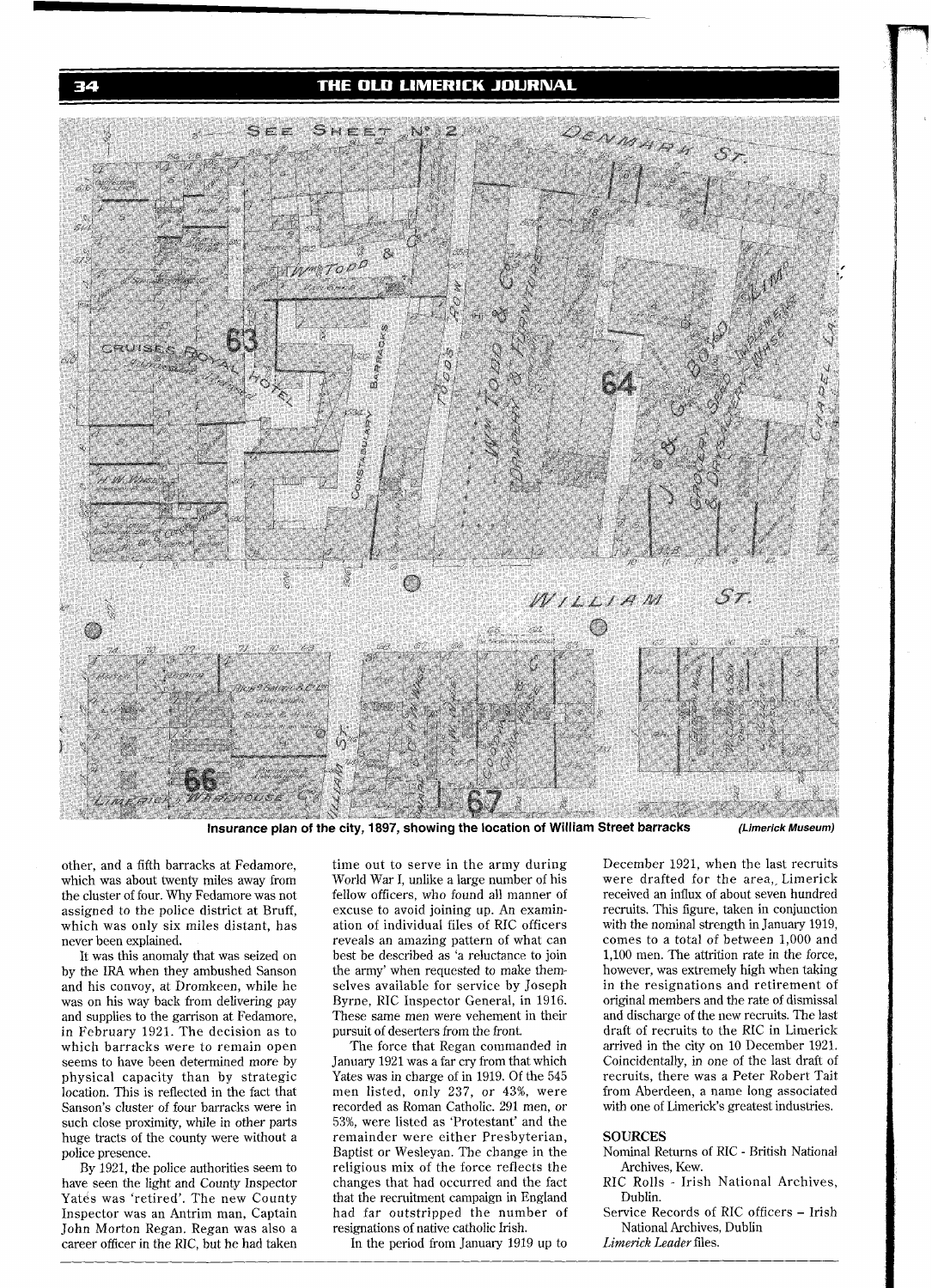THE OLD LIMERICK JOURNAL



**Insurance plan of the city, 1897, showing the location of William Street barracks (Limerick Museum)** 

other, and a fifth barracks at Fedamore, time out to serve in the army during December 1921, when the last recruits which was about twenty miles away from World War I, unlike a large number of his were drafted for the area

and his convoy, at Dromkeen, while he selves available for service by Joseph was on his way back from delivering pay Byrne, RIC Inspector General, in 1916. and supplies to the garrison at Fedamore, These same men were vehement in February 1921. The decision as to pursuit of deserters from the front.

have seen the light and County Inspector changes that had occurred and the fact RIC Rolls Yatés was 'retired'. The new County that the recruitment campaign in England Dublin. Yatés was 'retired'. The new County that the recruitment campaign in England Dublin.<br>Inspector was an Antrim man, Captain had far outstripped the number of Service Records of RIC officers – Irish Inspector was an Antrim man, Captain had far outstripped the number of Service Records of RIC off<br>John Morton Regan, Regan was also a resignations of native catholic Irish. National Archives, Dublin John Morton Regan. Regan was also a resignations of native catholic Irish. National Archives<br>
Career officer in the RIC, but he had taken In the period from January 1919 up to *Limerick Leader* files. career officer in the RIC, but he had taken

which was about twenty miles away from World War I, unlike a large number of his were drafted for the area, Limerick<br>the cluster of four. Why Fedamore was not fellow officers, who found all manner of received an influx of the cluster of four. Why Fedamore was not fellow officers, who found all manner of received an influx of about seven hundred assigned to the police district at Bruff, excuse to avoid joining up. An examin-<br>recruits. This f excuse to avoid joining up. An examin-<br>ation of individual files of RIC officers with the nominal strength in January 1919, which was only six miles distant, has ation of individual files of RIC officers with the nominal strength in January 1919,<br>reveals an amazing pattern of what can comes to a total of between 1,000 and never been explained. reveals an amazing pattern of what can comes to a total of between 1,000 and<br>It was this anomaly that was seized on best be described as 'a reluctance to join 1,100 men. The attrition rate in the forc best be described as 'a reluctance to join 1,100 men. The attrition rate in the force, the army' when requested to make them-<br>however, was extremely high when taking by the IRA when they ambushed Sanson the army' when requested to make them-<br>and his convoy, at Dromkeen, while he selves available for service by Joseph in the resignations and retirement of Byrne, RIC Inspector General, in 1916. original members and the rate of dismissal<br>These same men were vehement in their and discharge of the new recruits. The last

which barracks were to remain open The force that Regan commanded in arrived in the city on 10 December 1921.<br>Seems to have been determined more by January 1921 was a far cry from that which Coincidentally, in one of the l January 1921 was a far cry from that which Coincidentally, in one of the last draft of Yates was in charge of in 1919. Of the 545 recruits, there was a Peter Robert Tait physical capacity than by strategic Yates was in charge of in 1919. Of the 545 recruits, there was a Peter Robert Tait location. This is reflected in the fact that men listed, only 237, or 43%, were from Aberdeen, a name l men listed, only 237, or 43%, were recorded as Roman Catholic. 291 men, or Sanson's cluster of four barracks were in recorded as Roman Catholic. 291 men, or with one of Limerick's greatest industries.<br>such close proximity, while in other parts 53%, were listed as 'Protestant' and the 53%, were listed as 'Protestant' and the<br>remainder were either Presbyterian, huge tracts of the county were without a remainder were either Presbyterian, **SOURCES**  police presence. Baptist or Wesleyan. The change in the Nominal Returns of RIC - British National By 1921, the police authorities seem to religious mix of the force reflects the Archives, Kew.<br>We seen the light and County Inspector changes that had occurred and the fact RIC Rolls - Irish National Archives,

in February 1921. The deserters from the front. draft of recruits to the RIC in Limerick The force that Regan commanded in arrived in the city on 10 December 1921.

- 
- 
-